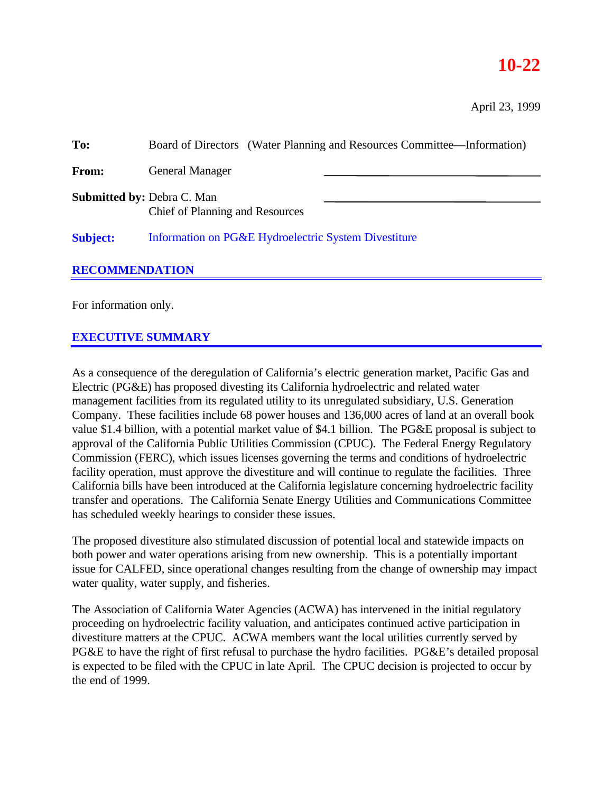## **10-22**

| To:                               | Board of Directors (Water Planning and Resources Committee—Information) |
|-----------------------------------|-------------------------------------------------------------------------|
| From:                             | <b>General Manager</b>                                                  |
| <b>Submitted by: Debra C. Man</b> | Chief of Planning and Resources                                         |
| <b>Subject:</b>                   | Information on PG&E Hydroelectric System Divestiture                    |
| <b>RECOMMENDATION</b>             |                                                                         |
|                                   |                                                                         |

For information only.

## **EXECUTIVE SUMMARY**

As a consequence of the deregulation of California's electric generation market, Pacific Gas and Electric (PG&E) has proposed divesting its California hydroelectric and related water management facilities from its regulated utility to its unregulated subsidiary, U.S. Generation Company. These facilities include 68 power houses and 136,000 acres of land at an overall book value \$1.4 billion, with a potential market value of \$4.1 billion. The PG&E proposal is subject to approval of the California Public Utilities Commission (CPUC). The Federal Energy Regulatory Commission (FERC), which issues licenses governing the terms and conditions of hydroelectric facility operation, must approve the divestiture and will continue to regulate the facilities. Three California bills have been introduced at the California legislature concerning hydroelectric facility transfer and operations. The California Senate Energy Utilities and Communications Committee has scheduled weekly hearings to consider these issues.

The proposed divestiture also stimulated discussion of potential local and statewide impacts on both power and water operations arising from new ownership. This is a potentially important issue for CALFED, since operational changes resulting from the change of ownership may impact water quality, water supply, and fisheries.

The Association of California Water Agencies (ACWA) has intervened in the initial regulatory proceeding on hydroelectric facility valuation, and anticipates continued active participation in divestiture matters at the CPUC. ACWA members want the local utilities currently served by PG&E to have the right of first refusal to purchase the hydro facilities. PG&E's detailed proposal is expected to be filed with the CPUC in late April. The CPUC decision is projected to occur by the end of 1999.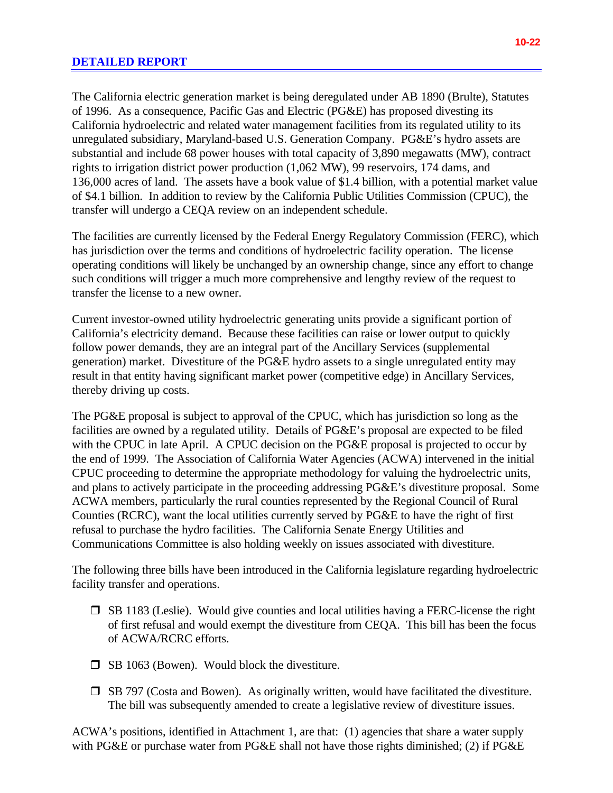The California electric generation market is being deregulated under AB 1890 (Brulte), Statutes of 1996. As a consequence, Pacific Gas and Electric (PG&E) has proposed divesting its California hydroelectric and related water management facilities from its regulated utility to its unregulated subsidiary, Maryland-based U.S. Generation Company. PG&E's hydro assets are substantial and include 68 power houses with total capacity of 3,890 megawatts (MW), contract rights to irrigation district power production (1,062 MW), 99 reservoirs, 174 dams, and 136,000 acres of land. The assets have a book value of \$1.4 billion, with a potential market value of \$4.1 billion. In addition to review by the California Public Utilities Commission (CPUC), the transfer will undergo a CEQA review on an independent schedule.

The facilities are currently licensed by the Federal Energy Regulatory Commission (FERC), which has jurisdiction over the terms and conditions of hydroelectric facility operation. The license operating conditions will likely be unchanged by an ownership change, since any effort to change such conditions will trigger a much more comprehensive and lengthy review of the request to transfer the license to a new owner.

Current investor-owned utility hydroelectric generating units provide a significant portion of California's electricity demand. Because these facilities can raise or lower output to quickly follow power demands, they are an integral part of the Ancillary Services (supplemental generation) market. Divestiture of the PG&E hydro assets to a single unregulated entity may result in that entity having significant market power (competitive edge) in Ancillary Services, thereby driving up costs.

The PG&E proposal is subject to approval of the CPUC, which has jurisdiction so long as the facilities are owned by a regulated utility. Details of PG&E's proposal are expected to be filed with the CPUC in late April. A CPUC decision on the PG&E proposal is projected to occur by the end of 1999. The Association of California Water Agencies (ACWA) intervened in the initial CPUC proceeding to determine the appropriate methodology for valuing the hydroelectric units, and plans to actively participate in the proceeding addressing PG&E's divestiture proposal. Some ACWA members, particularly the rural counties represented by the Regional Council of Rural Counties (RCRC), want the local utilities currently served by PG&E to have the right of first refusal to purchase the hydro facilities. The California Senate Energy Utilities and Communications Committee is also holding weekly on issues associated with divestiture.

The following three bills have been introduced in the California legislature regarding hydroelectric facility transfer and operations.

- $\Box$  SB 1183 (Leslie). Would give counties and local utilities having a FERC-license the right of first refusal and would exempt the divestiture from CEQA. This bill has been the focus of ACWA/RCRC efforts.
- $\Box$  SB 1063 (Bowen). Would block the divestiture.
- $\Box$  SB 797 (Costa and Bowen). As originally written, would have facilitated the divestiture. The bill was subsequently amended to create a legislative review of divestiture issues.

ACWA's positions, identified in Attachment 1, are that: (1) agencies that share a water supply with PG&E or purchase water from PG&E shall not have those rights diminished; (2) if PG&E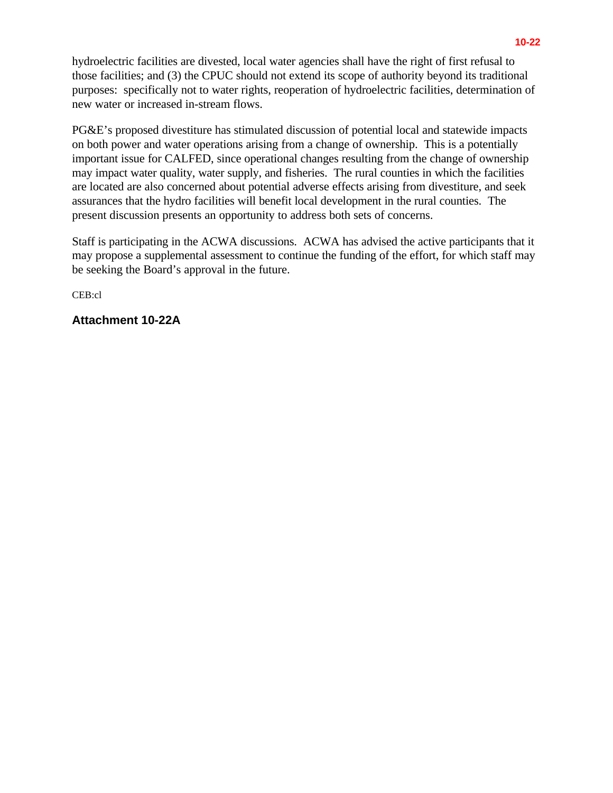hydroelectric facilities are divested, local water agencies shall have the right of first refusal to those facilities; and (3) the CPUC should not extend its scope of authority beyond its traditional purposes: specifically not to water rights, reoperation of hydroelectric facilities, determination of new water or increased in-stream flows.

PG&E's proposed divestiture has stimulated discussion of potential local and statewide impacts on both power and water operations arising from a change of ownership. This is a potentially important issue for CALFED, since operational changes resulting from the change of ownership may impact water quality, water supply, and fisheries. The rural counties in which the facilities are located are also concerned about potential adverse effects arising from divestiture, and seek assurances that the hydro facilities will benefit local development in the rural counties. The present discussion presents an opportunity to address both sets of concerns.

Staff is participating in the ACWA discussions. ACWA has advised the active participants that it may propose a supplemental assessment to continue the funding of the effort, for which staff may be seeking the Board's approval in the future.

CEB:cl

## **Attachment 10-22A**